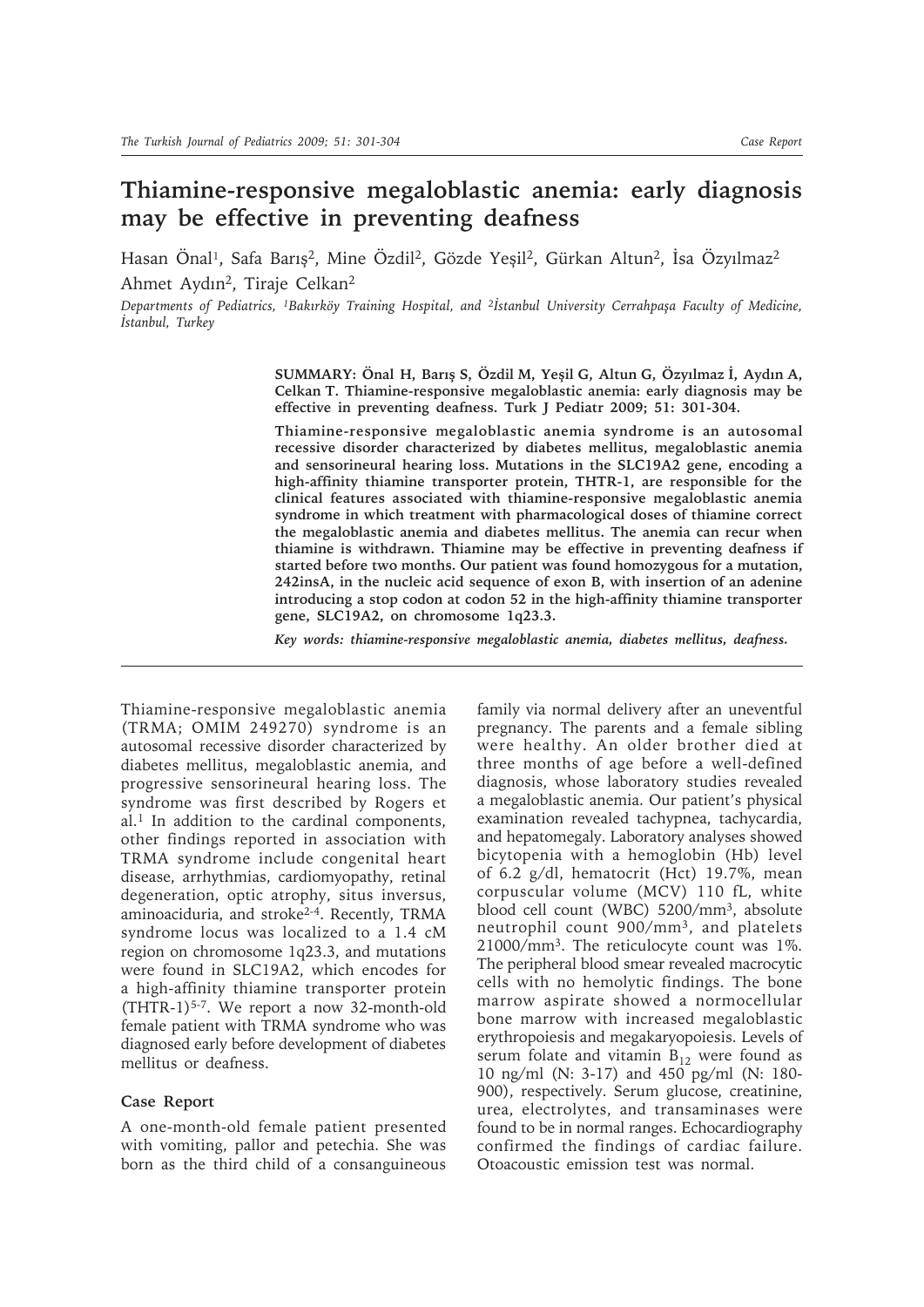# **Thiamine-responsive megaloblastic anemia: early diagnosis may be effective in preventing deafness**

Hasan Önal<sup>1</sup>, Safa Barış<sup>2</sup>, Mine Özdil<sup>2</sup>, Gözde Yeşil<sup>2</sup>, Gürkan Altun<sup>2</sup>, İsa Özyılmaz<sup>2</sup> Ahmet Aydın2, Tiraje Celkan2

*Departments of Pediatrics, 1Bakırköy Training Hospital, and 2İstanbul University Cerrahpaşa Faculty of Medicine, İstanbul, Turkey*

> **SUMMARY: Önal H, Barış S, Özdil M, Yeşil G, Altun G, Özyılmaz İ, Aydın A, Celkan T. Thiamine-responsive megaloblastic anemia: early diagnosis may be effective in preventing deafness. Turk J Pediatr 2009; 51: 301-304.**

> **Thiamine-responsive megaloblastic anemia syndrome is an autosomal recessive disorder characterized by diabetes mellitus, megaloblastic anemia and sensorineural hearing loss. Mutations in the SLC19A2 gene, encoding a high-affinity thiamine transporter protein, THTR-1, are responsible for the clinical features associated with thiamine-responsive megaloblastic anemia syndrome in which treatment with pharmacological doses of thiamine correct the megaloblastic anemia and diabetes mellitus. The anemia can recur when thiamine is withdrawn. Thiamine may be effective in preventing deafness if started before two months. Our patient was found homozygous for a mutation, 242insA, in the nucleic acid sequence of exon B, with insertion of an adenine introducing a stop codon at codon 52 in the high-affinity thiamine transporter gene, SLC19A2, on chromosome 1q23.3.**

*Key words: thiamine-responsive megaloblastic anemia, diabetes mellitus, deafness.*

Thiamine-responsive megaloblastic anemia (TRMA; OMIM 249270) syndrome is an autosomal recessive disorder characterized by diabetes mellitus, megaloblastic anemia, and progressive sensorineural hearing loss. The syndrome was first described by Rogers et al.1 In addition to the cardinal components, other findings reported in association with TRMA syndrome include congenital heart disease, arrhythmias, cardiomyopathy, retinal degeneration, optic atrophy, situs inversus, aminoaciduria, and stroke2-4. Recently, TRMA syndrome locus was localized to a 1.4 cM region on chromosome 1q23.3, and mutations were found in SLC19A2, which encodes for a high-affinity thiamine transporter protein (THTR-1)5-7. We report a now 32-month-old female patient with TRMA syndrome who was diagnosed early before development of diabetes mellitus or deafness.

## **Case Report**

A one-month-old female patient presented with vomiting, pallor and petechia. She was born as the third child of a consanguineous family via normal delivery after an uneventful pregnancy. The parents and a female sibling were healthy. An older brother died at three months of age before a well-defined diagnosis, whose laboratory studies revealed a megaloblastic anemia. Our patient's physical examination revealed tachypnea, tachycardia, and hepatomegaly. Laboratory analyses showed bicytopenia with a hemoglobin (Hb) level of 6.2 g/dl, hematocrit (Hct) 19.7%, mean corpuscular volume (MCV) 110 fL, white blood cell count (WBC) 5200/mm3, absolute neutrophil count 900/mm3, and platelets 21000/mm3. The reticulocyte count was 1%. The peripheral blood smear revealed macrocytic cells with no hemolytic findings. The bone marrow aspirate showed a normocellular bone marrow with increased megaloblastic erythropoiesis and megakaryopoiesis. Levels of serum folate and vitamin  $B_{12}$  were found as 10 ng/ml (N: 3-17) and 450 pg/ml (N: 180- 900), respectively. Serum glucose, creatinine, urea, electrolytes, and transaminases were found to be in normal ranges. Echocardiography confirmed the findings of cardiac failure. Otoacoustic emission test was normal.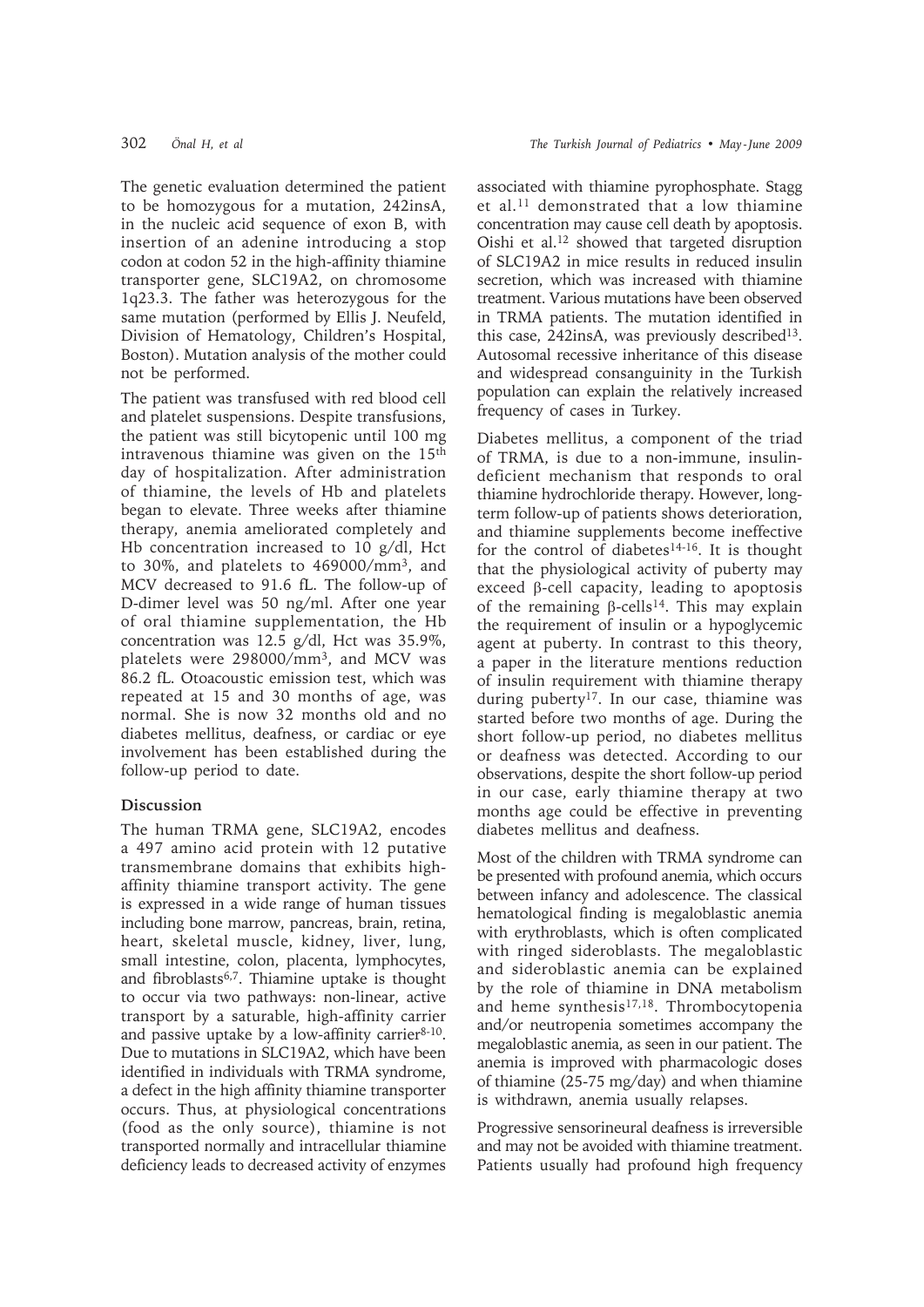The genetic evaluation determined the patient to be homozygous for a mutation, 242insA, in the nucleic acid sequence of exon B, with insertion of an adenine introducing a stop codon at codon 52 in the high-affinity thiamine transporter gene, SLC19A2, on chromosome 1q23.3. The father was heterozygous for the same mutation (performed by Ellis J. Neufeld, Division of Hematology, Children's Hospital, Boston). Mutation analysis of the mother could not be performed.

The patient was transfused with red blood cell and platelet suspensions. Despite transfusions, the patient was still bicytopenic until 100 mg intravenous thiamine was given on the 15<sup>th</sup> day of hospitalization. After administration of thiamine, the levels of Hb and platelets began to elevate. Three weeks after thiamine therapy, anemia ameliorated completely and Hb concentration increased to 10 g/dl, Hct to 30%, and platelets to 469000/mm3, and MCV decreased to 91.6 fL. The follow-up of D-dimer level was 50 ng/ml. After one year of oral thiamine supplementation, the Hb concentration was 12.5 g/dl, Hct was 35.9%, platelets were 298000/mm3, and MCV was 86.2 fL. Otoacoustic emission test, which was repeated at 15 and 30 months of age, was normal. She is now 32 months old and no diabetes mellitus, deafness, or cardiac or eye involvement has been established during the follow-up period to date.

# **Discussion**

The human TRMA gene, SLC19A2, encodes a 497 amino acid protein with 12 putative transmembrane domains that exhibits highaffinity thiamine transport activity. The gene is expressed in a wide range of human tissues including bone marrow, pancreas, brain, retina, heart, skeletal muscle, kidney, liver, lung, small intestine, colon, placenta, lymphocytes, and fibroblasts6,7. Thiamine uptake is thought to occur via two pathways: non-linear, active transport by a saturable, high-affinity carrier and passive uptake by a low-affinity carrier<sup>8-10</sup>. Due to mutations in SLC19A2, which have been identified in individuals with TRMA syndrome, a defect in the high affinity thiamine transporter occurs. Thus, at physiological concentrations (food as the only source), thiamine is not transported normally and intracellular thiamine deficiency leads to decreased activity of enzymes

associated with thiamine pyrophosphate. Stagg et al.11 demonstrated that a low thiamine concentration may cause cell death by apoptosis. Oishi et al.12 showed that targeted disruption of SLC19A2 in mice results in reduced insulin secretion, which was increased with thiamine treatment. Various mutations have been observed in TRMA patients. The mutation identified in this case, 242insA, was previously described<sup>13</sup>. Autosomal recessive inheritance of this disease and widespread consanguinity in the Turkish population can explain the relatively increased frequency of cases in Turkey.

Diabetes mellitus, a component of the triad of TRMA, is due to a non-immune, insulindeficient mechanism that responds to oral thiamine hydrochloride therapy. However, longterm follow-up of patients shows deterioration, and thiamine supplements become ineffective for the control of diabetes<sup>14-16</sup>. It is thought that the physiological activity of puberty may exceed β-cell capacity, leading to apoptosis of the remaining β-cells<sup>14</sup>. This may explain the requirement of insulin or a hypoglycemic agent at puberty. In contrast to this theory, a paper in the literature mentions reduction of insulin requirement with thiamine therapy during puberty<sup>17</sup>. In our case, thiamine was started before two months of age. During the short follow-up period, no diabetes mellitus or deafness was detected. According to our observations, despite the short follow-up period in our case, early thiamine therapy at two months age could be effective in preventing diabetes mellitus and deafness.

Most of the children with TRMA syndrome can be presented with profound anemia, which occurs between infancy and adolescence. The classical hematological finding is megaloblastic anemia with erythroblasts, which is often complicated with ringed sideroblasts. The megaloblastic and sideroblastic anemia can be explained by the role of thiamine in DNA metabolism and heme synthesis<sup>17,18</sup>. Thrombocytopenia and/or neutropenia sometimes accompany the megaloblastic anemia, as seen in our patient. The anemia is improved with pharmacologic doses of thiamine (25-75 mg/day) and when thiamine is withdrawn, anemia usually relapses.

Progressive sensorineural deafness is irreversible and may not be avoided with thiamine treatment. Patients usually had profound high frequency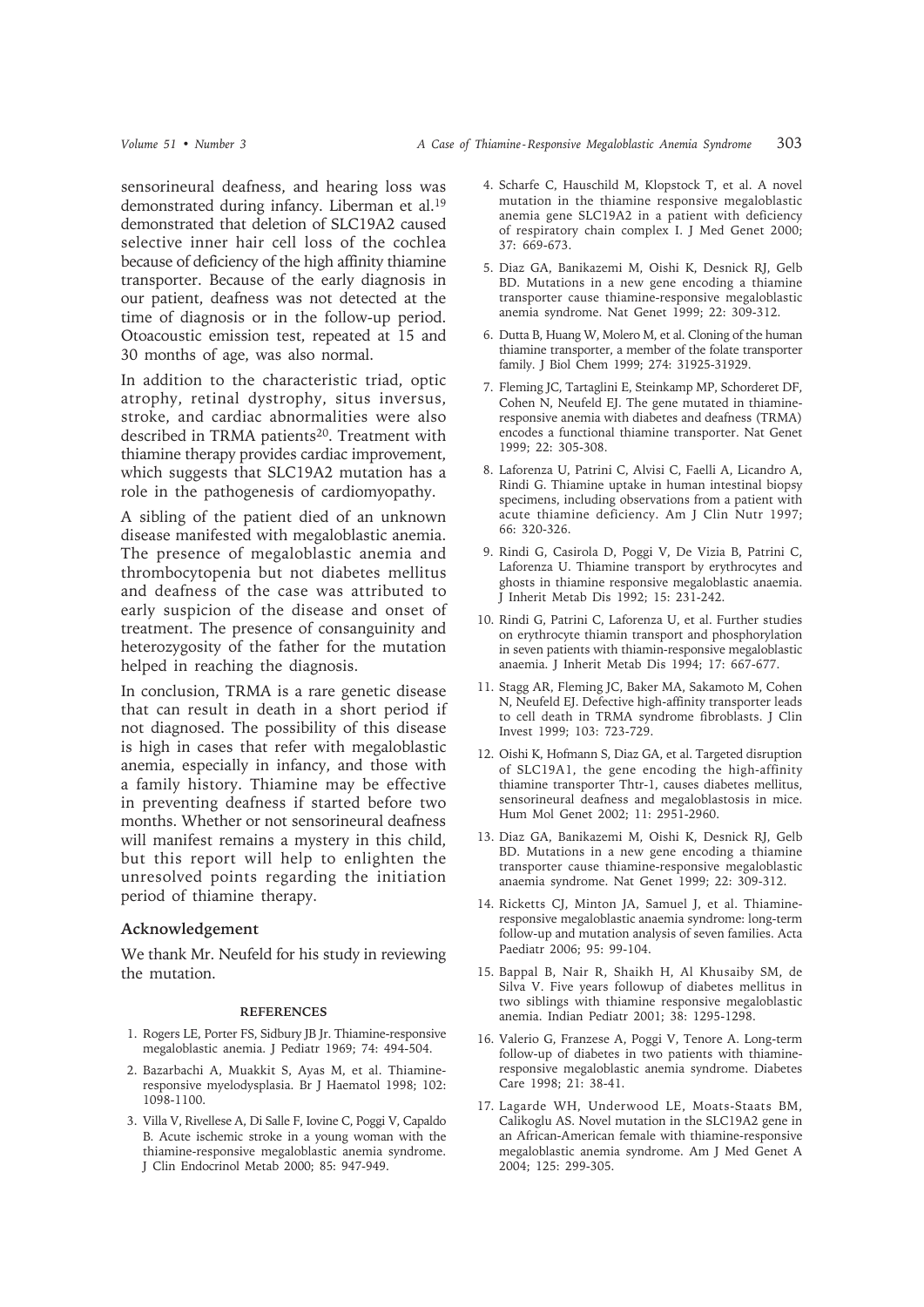sensorineural deafness, and hearing loss was demonstrated during infancy. Liberman et al.19 demonstrated that deletion of SLC19A2 caused selective inner hair cell loss of the cochlea because of deficiency of the high affinity thiamine transporter. Because of the early diagnosis in our patient, deafness was not detected at the time of diagnosis or in the follow-up period. Otoacoustic emission test, repeated at 15 and 30 months of age, was also normal.

In addition to the characteristic triad, optic atrophy, retinal dystrophy, situs inversus, stroke, and cardiac abnormalities were also described in TRMA patients<sup>20</sup>. Treatment with thiamine therapy provides cardiac improvement, which suggests that SLC19A2 mutation has a role in the pathogenesis of cardiomyopathy.

A sibling of the patient died of an unknown disease manifested with megaloblastic anemia. The presence of megaloblastic anemia and thrombocytopenia but not diabetes mellitus and deafness of the case was attributed to early suspicion of the disease and onset of treatment. The presence of consanguinity and heterozygosity of the father for the mutation helped in reaching the diagnosis.

In conclusion, TRMA is a rare genetic disease that can result in death in a short period if not diagnosed. The possibility of this disease is high in cases that refer with megaloblastic anemia, especially in infancy, and those with a family history. Thiamine may be effective in preventing deafness if started before two months. Whether or not sensorineural deafness will manifest remains a mystery in this child, but this report will help to enlighten the unresolved points regarding the initiation period of thiamine therapy.

### **Acknowledgement**

We thank Mr. Neufeld for his study in reviewing the mutation.

#### **REFERENCES**

- 1. Rogers LE, Porter FS, Sidbury JB Jr. Thiamine-responsive megaloblastic anemia. J Pediatr 1969; 74: 494-504.
- 2. Bazarbachi A, Muakkit S, Ayas M, et al. Thiamineresponsive myelodysplasia. Br J Haematol 1998; 102: 1098-1100.
- 3. Villa V, Rivellese A, Di Salle F, Iovine C, Poggi V, Capaldo B. Acute ischemic stroke in a young woman with the thiamine-responsive megaloblastic anemia syndrome. J Clin Endocrinol Metab 2000; 85: 947-949.
- 4. Scharfe C, Hauschild M, Klopstock T, et al. A novel mutation in the thiamine responsive megaloblastic anemia gene SLC19A2 in a patient with deficiency of respiratory chain complex I. J Med Genet 2000; 37: 669-673.
- 5. Diaz GA, Banikazemi M, Oishi K, Desnick RJ, Gelb BD. Mutations in a new gene encoding a thiamine transporter cause thiamine-responsive megaloblastic anemia syndrome. Nat Genet 1999; 22: 309-312.
- 6. Dutta B, Huang W, Molero M, et al. Cloning of the human thiamine transporter, a member of the folate transporter family. J Biol Chem 1999; 274: 31925-31929.
- 7. Fleming JC, Tartaglini E, Steinkamp MP, Schorderet DF, Cohen N, Neufeld EJ. The gene mutated in thiamineresponsive anemia with diabetes and deafness (TRMA) encodes a functional thiamine transporter. Nat Genet 1999; 22: 305-308.
- 8. Laforenza U, Patrini C, Alvisi C, Faelli A, Licandro A, Rindi G. Thiamine uptake in human intestinal biopsy specimens, including observations from a patient with acute thiamine deficiency. Am J Clin Nutr 1997; 66: 320-326.
- 9. Rindi G, Casirola D, Poggi V, De Vizia B, Patrini C, Laforenza U. Thiamine transport by erythrocytes and ghosts in thiamine responsive megaloblastic anaemia. J Inherit Metab Dis 1992; 15: 231-242.
- 10. Rindi G, Patrini C, Laforenza U, et al. Further studies on erythrocyte thiamin transport and phosphorylation in seven patients with thiamin-responsive megaloblastic anaemia. J Inherit Metab Dis 1994; 17: 667-677.
- 11. Stagg AR, Fleming JC, Baker MA, Sakamoto M, Cohen N, Neufeld EJ. Defective high-affinity transporter leads to cell death in TRMA syndrome fibroblasts. J Clin Invest 1999; 103: 723-729.
- 12. Oishi K, Hofmann S, Diaz GA, et al. Targeted disruption of SLC19A1, the gene encoding the high-affinity thiamine transporter Thtr-1, causes diabetes mellitus, sensorineural deafness and megaloblastosis in mice. Hum Mol Genet 2002; 11: 2951-2960.
- 13. Diaz GA, Banikazemi M, Oishi K, Desnick RJ, Gelb BD. Mutations in a new gene encoding a thiamine transporter cause thiamine-responsive megaloblastic anaemia syndrome. Nat Genet 1999; 22: 309-312.
- 14. Ricketts CJ, Minton JA, Samuel J, et al. Thiamineresponsive megaloblastic anaemia syndrome: long-term follow-up and mutation analysis of seven families. Acta Paediatr 2006; 95: 99-104.
- 15. Bappal B, Nair R, Shaikh H, Al Khusaiby SM, de Silva V. Five years followup of diabetes mellitus in two siblings with thiamine responsive megaloblastic anemia. Indian Pediatr 2001; 38: 1295-1298.
- 16. Valerio G, Franzese A, Poggi V, Tenore A. Long-term follow-up of diabetes in two patients with thiamineresponsive megaloblastic anemia syndrome. Diabetes Care 1998; 21: 38-41.
- 17. Lagarde WH, Underwood LE, Moats-Staats BM, Calikoglu AS. Novel mutation in the SLC19A2 gene in an African-American female with thiamine-responsive megaloblastic anemia syndrome. Am J Med Genet A 2004; 125: 299-305.